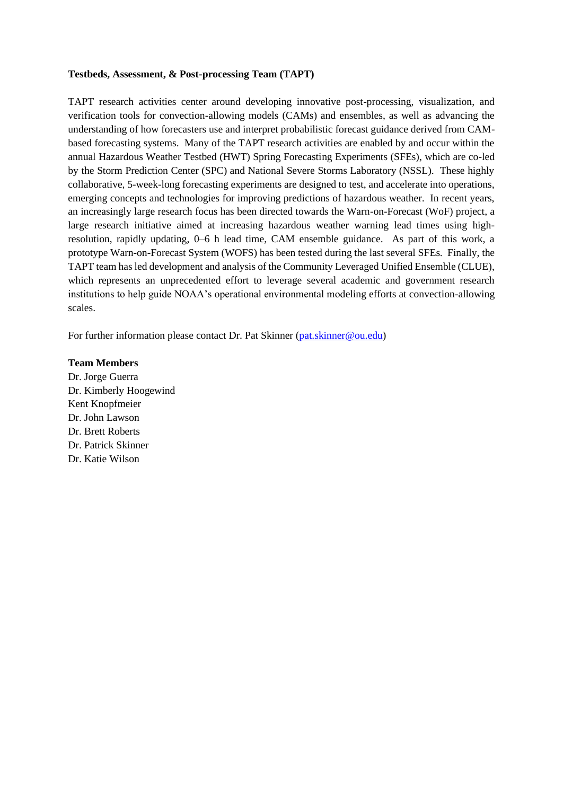## **Testbeds, Assessment, & Post-processing Team (TAPT)**

TAPT research activities center around developing innovative post-processing, visualization, and verification tools for convection-allowing models (CAMs) and ensembles, as well as advancing the understanding of how forecasters use and interpret probabilistic forecast guidance derived from CAMbased forecasting systems. Many of the TAPT research activities are enabled by and occur within the annual Hazardous Weather Testbed (HWT) Spring Forecasting Experiments (SFEs), which are co-led by the Storm Prediction Center (SPC) and National Severe Storms Laboratory (NSSL). These highly collaborative, 5-week-long forecasting experiments are designed to test, and accelerate into operations, emerging concepts and technologies for improving predictions of hazardous weather. In recent years, an increasingly large research focus has been directed towards the Warn-on-Forecast (WoF) project, a large research initiative aimed at increasing hazardous weather warning lead times using highresolution, rapidly updating, 0–6 h lead time, CAM ensemble guidance. As part of this work, a prototype Warn-on-Forecast System (WOFS) has been tested during the last several SFEs. Finally, the TAPT team has led development and analysis of the Community Leveraged Unified Ensemble (CLUE), which represents an unprecedented effort to leverage several academic and government research institutions to help guide NOAA's operational environmental modeling efforts at convection-allowing scales.

For further information please contact Dr. Pat Skinner [\(pat.skinner@ou.edu\)](mailto:pat.skinner@ou.edu)

## **Team Members**

Dr. Jorge Guerra Dr. Kimberly Hoogewind Kent Knopfmeier Dr. John Lawson Dr. Brett Roberts Dr. Patrick Skinner Dr. Katie Wilson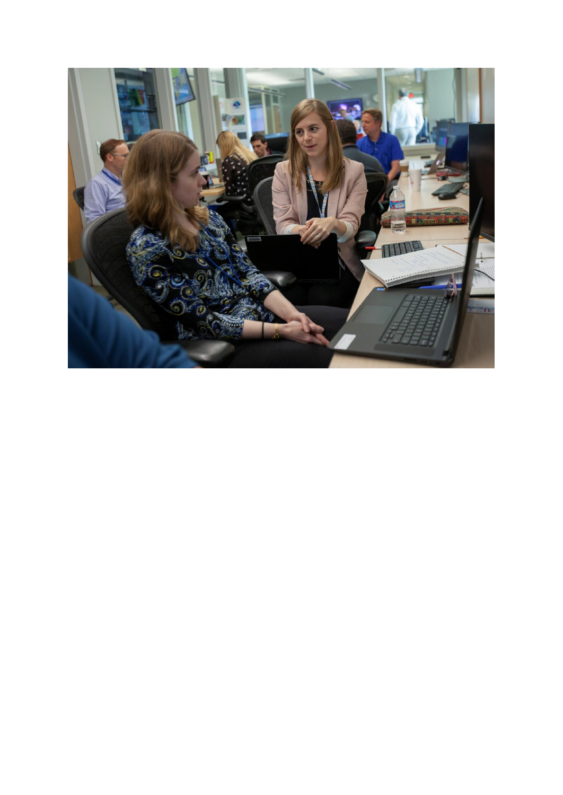